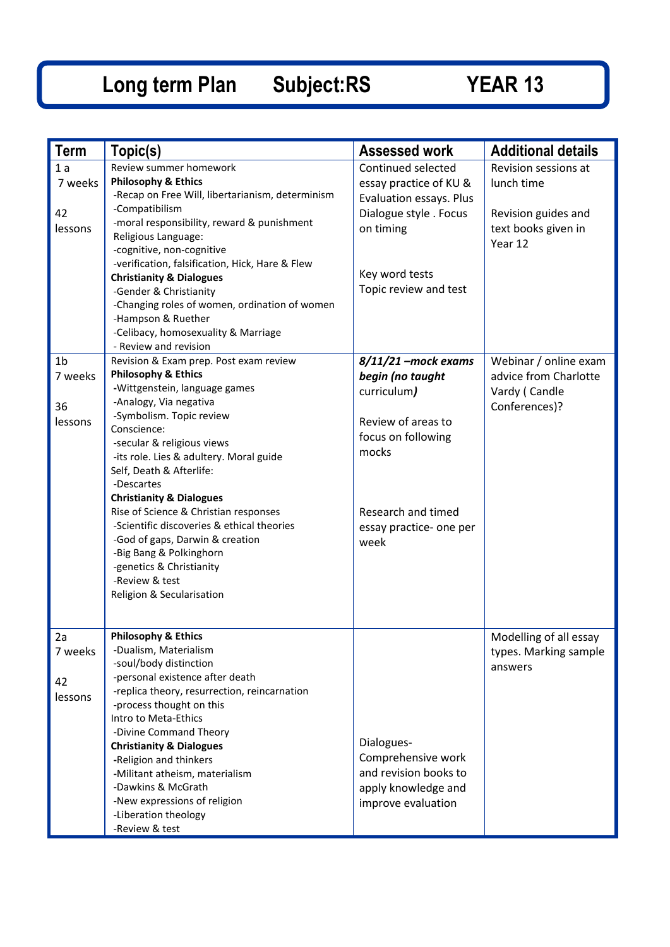## **Long term Plan Subject:RS YEAR 13**

| <b>Term</b>                                | Topic(s)                                                                                                                                                                                                                                                                                                                                                                                                                                                                                                                                                                 | <b>Assessed work</b>                                                                                                                                                   | <b>Additional details</b>                                                        |
|--------------------------------------------|--------------------------------------------------------------------------------------------------------------------------------------------------------------------------------------------------------------------------------------------------------------------------------------------------------------------------------------------------------------------------------------------------------------------------------------------------------------------------------------------------------------------------------------------------------------------------|------------------------------------------------------------------------------------------------------------------------------------------------------------------------|----------------------------------------------------------------------------------|
| 1a<br>7 weeks<br>42                        | Review summer homework<br><b>Philosophy &amp; Ethics</b><br>-Recap on Free Will, libertarianism, determinism<br>-Compatibilism                                                                                                                                                                                                                                                                                                                                                                                                                                           | Continued selected<br>essay practice of KU &<br>Evaluation essays. Plus<br>Dialogue style . Focus                                                                      | Revision sessions at<br>lunch time<br>Revision guides and                        |
| lessons                                    | -moral responsibility, reward & punishment<br>Religious Language:<br>-cognitive, non-cognitive<br>-verification, falsification, Hick, Hare & Flew<br><b>Christianity &amp; Dialogues</b><br>-Gender & Christianity<br>-Changing roles of women, ordination of women                                                                                                                                                                                                                                                                                                      | on timing<br>Key word tests<br>Topic review and test                                                                                                                   | text books given in<br>Year 12                                                   |
|                                            | -Hampson & Ruether<br>-Celibacy, homosexuality & Marriage<br>- Review and revision                                                                                                                                                                                                                                                                                                                                                                                                                                                                                       |                                                                                                                                                                        |                                                                                  |
| 1 <sub>b</sub><br>7 weeks<br>36<br>lessons | Revision & Exam prep. Post exam review<br><b>Philosophy &amp; Ethics</b><br>-Wittgenstein, language games<br>-Analogy, Via negativa<br>-Symbolism. Topic review<br>Conscience:<br>-secular & religious views<br>-its role. Lies & adultery. Moral guide<br>Self, Death & Afterlife:<br>-Descartes<br><b>Christianity &amp; Dialogues</b><br>Rise of Science & Christian responses<br>-Scientific discoveries & ethical theories<br>-God of gaps, Darwin & creation<br>-Big Bang & Polkinghorn<br>-genetics & Christianity<br>-Review & test<br>Religion & Secularisation | $8/11/21$ -mock exams<br>begin (no taught<br>curriculum)<br>Review of areas to<br>focus on following<br>mocks<br>Research and timed<br>essay practice- one per<br>week | Webinar / online exam<br>advice from Charlotte<br>Vardy (Candle<br>Conferences)? |
| 2a<br>7 weeks<br>42<br>lessons             | <b>Philosophy &amp; Ethics</b><br>-Dualism, Materialism<br>-soul/body distinction<br>-personal existence after death<br>-replica theory, resurrection, reincarnation<br>-process thought on this<br>Intro to Meta-Ethics<br>-Divine Command Theory<br><b>Christianity &amp; Dialogues</b><br>-Religion and thinkers<br>-Militant atheism, materialism<br>-Dawkins & McGrath<br>-New expressions of religion<br>-Liberation theology<br>-Review & test                                                                                                                    | Dialogues-<br>Comprehensive work<br>and revision books to<br>apply knowledge and<br>improve evaluation                                                                 | Modelling of all essay<br>types. Marking sample<br>answers                       |